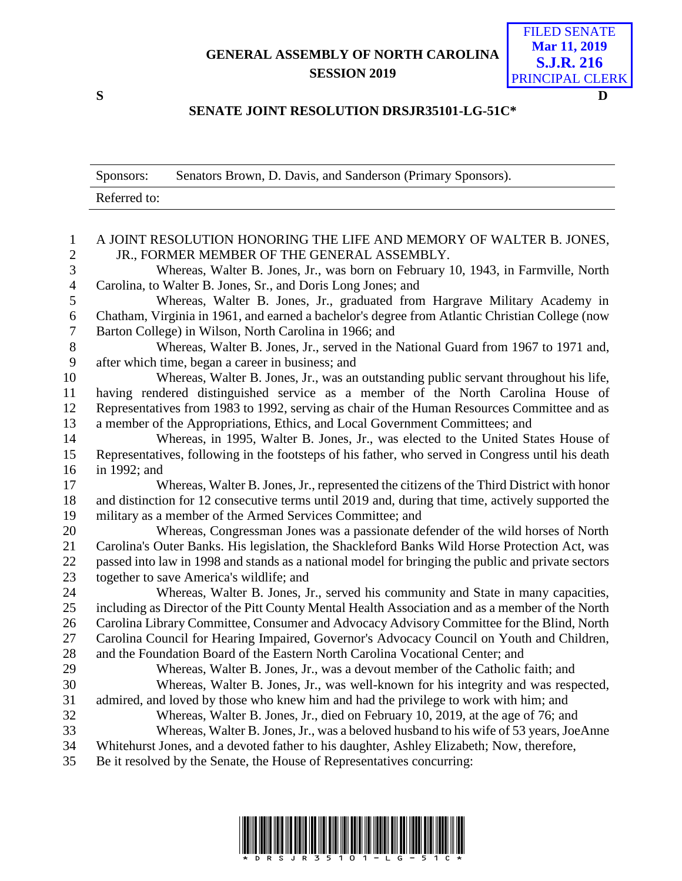## **GENERAL ASSEMBLY OF NORTH CAROLINA SESSION 2019**

FILED SENATE **Mar 11, 2019 S.J.R. 216** PRINCIPAL CLERK

## **S D**

## **SENATE JOINT RESOLUTION DRSJR35101-LG-51C\***

|                   | Sponsors:                                                                                                                                         | Senators Brown, D. Davis, and Sanderson (Primary Sponsors).                                     |
|-------------------|---------------------------------------------------------------------------------------------------------------------------------------------------|-------------------------------------------------------------------------------------------------|
|                   | Referred to:                                                                                                                                      |                                                                                                 |
|                   |                                                                                                                                                   |                                                                                                 |
| 1                 | A JOINT RESOLUTION HONORING THE LIFE AND MEMORY OF WALTER B. JONES,                                                                               |                                                                                                 |
| $\mathbf{2}$<br>3 | JR., FORMER MEMBER OF THE GENERAL ASSEMBLY.                                                                                                       |                                                                                                 |
| $\overline{4}$    | Whereas, Walter B. Jones, Jr., was born on February 10, 1943, in Farmville, North<br>Carolina, to Walter B. Jones, Sr., and Doris Long Jones; and |                                                                                                 |
| 5                 | Whereas, Walter B. Jones, Jr., graduated from Hargrave Military Academy in                                                                        |                                                                                                 |
| 6                 | Chatham, Virginia in 1961, and earned a bachelor's degree from Atlantic Christian College (now                                                    |                                                                                                 |
| $\tau$            | Barton College) in Wilson, North Carolina in 1966; and                                                                                            |                                                                                                 |
| $8\,$             | Whereas, Walter B. Jones, Jr., served in the National Guard from 1967 to 1971 and,                                                                |                                                                                                 |
| 9                 | after which time, began a career in business; and                                                                                                 |                                                                                                 |
| 10                | Whereas, Walter B. Jones, Jr., was an outstanding public servant throughout his life,                                                             |                                                                                                 |
| 11                | having rendered distinguished service as a member of the North Carolina House of                                                                  |                                                                                                 |
| 12                | Representatives from 1983 to 1992, serving as chair of the Human Resources Committee and as                                                       |                                                                                                 |
| 13                | a member of the Appropriations, Ethics, and Local Government Committees; and                                                                      |                                                                                                 |
| 14                |                                                                                                                                                   | Whereas, in 1995, Walter B. Jones, Jr., was elected to the United States House of               |
| 15                | Representatives, following in the footsteps of his father, who served in Congress until his death                                                 |                                                                                                 |
| 16                | in 1992; and                                                                                                                                      |                                                                                                 |
| 17                |                                                                                                                                                   | Whereas, Walter B. Jones, Jr., represented the citizens of the Third District with honor        |
| 18                | and distinction for 12 consecutive terms until 2019 and, during that time, actively supported the                                                 |                                                                                                 |
| 19                | military as a member of the Armed Services Committee; and                                                                                         |                                                                                                 |
| 20                |                                                                                                                                                   | Whereas, Congressman Jones was a passionate defender of the wild horses of North                |
| 21                | Carolina's Outer Banks. His legislation, the Shackleford Banks Wild Horse Protection Act, was                                                     |                                                                                                 |
| 22<br>23          | passed into law in 1998 and stands as a national model for bringing the public and private sectors<br>together to save America's wildlife; and    |                                                                                                 |
| 24                |                                                                                                                                                   | Whereas, Walter B. Jones, Jr., served his community and State in many capacities,               |
| 25                |                                                                                                                                                   | including as Director of the Pitt County Mental Health Association and as a member of the North |
| 26                |                                                                                                                                                   | Carolina Library Committee, Consumer and Advocacy Advisory Committee for the Blind, North       |
| 27                |                                                                                                                                                   | Carolina Council for Hearing Impaired, Governor's Advocacy Council on Youth and Children,       |
| 28                |                                                                                                                                                   | and the Foundation Board of the Eastern North Carolina Vocational Center; and                   |
| 29                |                                                                                                                                                   | Whereas, Walter B. Jones, Jr., was a devout member of the Catholic faith; and                   |
| 30                |                                                                                                                                                   | Whereas, Walter B. Jones, Jr., was well-known for his integrity and was respected,              |
| 31                |                                                                                                                                                   | admired, and loved by those who knew him and had the privilege to work with him; and            |
| 32                | Whereas, Walter B. Jones, Jr., died on February 10, 2019, at the age of 76; and                                                                   |                                                                                                 |
| 33                | Whereas, Walter B. Jones, Jr., was a beloved husband to his wife of 53 years, JoeAnne                                                             |                                                                                                 |
| 34                |                                                                                                                                                   | Whitehurst Jones, and a devoted father to his daughter, Ashley Elizabeth; Now, therefore,       |
| 35                | Be it resolved by the Senate, the House of Representatives concurring:                                                                            |                                                                                                 |
|                   |                                                                                                                                                   |                                                                                                 |